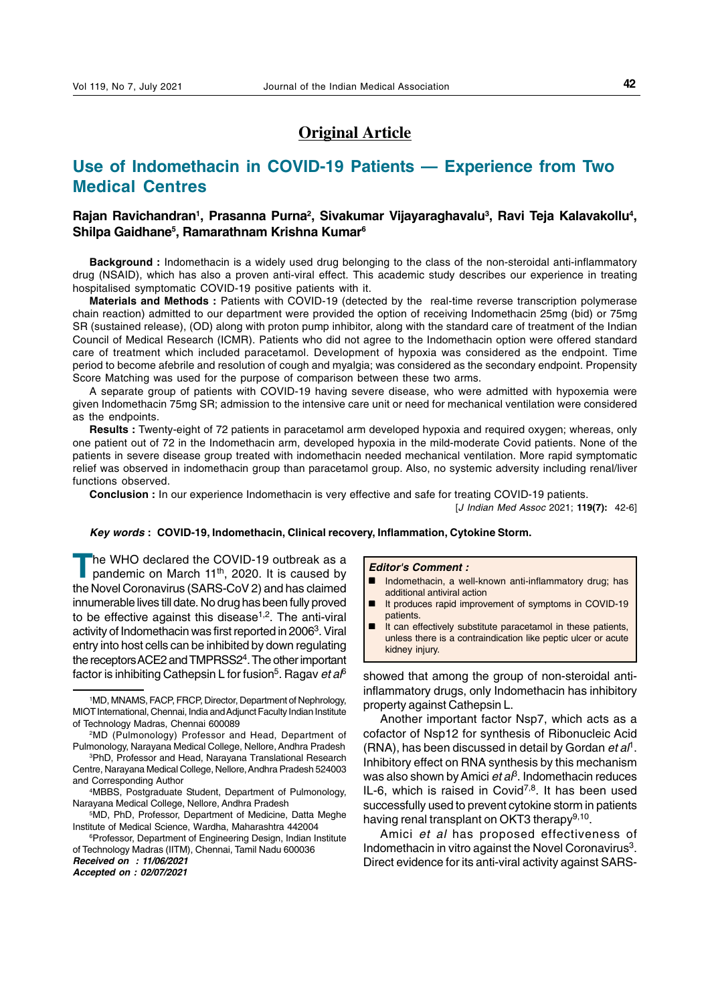# **Original Article**

# **Use of Indomethacin in COVID-19 Patients — Experience from Two Medical Centres**

# Rajan Ravichandran<sup>1</sup>, Prasanna Purna<sup>2</sup>, Sivakumar Vijayaraghavalu<sup>3</sup>, Ravi Teja Kalavakollu<sup>4</sup>, **Shilpa Gaidhane5 , Ramarathnam Krishna Kumar6**

**Background :** Indomethacin is a widely used drug belonging to the class of the non-steroidal anti-inflammatory drug (NSAID), which has also a proven anti-viral effect. This academic study describes our experience in treating hospitalised symptomatic COVID-19 positive patients with it.

**Materials and Methods :** Patients with COVID-19 (detected by the real-time reverse transcription polymerase chain reaction) admitted to our department were provided the option of receiving Indomethacin 25mg (bid) or 75mg SR (sustained release), (OD) along with proton pump inhibitor, along with the standard care of treatment of the Indian Council of Medical Research (ICMR). Patients who did not agree to the Indomethacin option were offered standard care of treatment which included paracetamol. Development of hypoxia was considered as the endpoint. Time period to become afebrile and resolution of cough and myalgia; was considered as the secondary endpoint. Propensity Score Matching was used for the purpose of comparison between these two arms.

A separate group of patients with COVID-19 having severe disease, who were admitted with hypoxemia were given Indomethacin 75mg SR; admission to the intensive care unit or need for mechanical ventilation were considered as the endpoints.

**Results :** Twenty-eight of 72 patients in paracetamol arm developed hypoxia and required oxygen; whereas, only one patient out of 72 in the Indomethacin arm, developed hypoxia in the mild-moderate Covid patients. None of the patients in severe disease group treated with indomethacin needed mechanical ventilation. More rapid symptomatic relief was observed in indomethacin group than paracetamol group. Also, no systemic adversity including renal/liver functions observed.

**Conclusion :** In our experience Indomethacin is very effective and safe for treating COVID-19 patients.

[J Indian Med Assoc 2021; **119(7):** 42-6]

### **Key words : COVID-19, Indomethacin, Clinical recovery, Inflammation, Cytokine Storm.**

The WHO declared the COVID-19 outbreak as a pandemic on March 11<sup>th</sup>, 2020. It is caused by the Novel Coronavirus (SARS-CoV 2) and has claimed innumerable lives till date. No drug has been fully proved to be effective against this disease<sup>1,2</sup>. The anti-viral activity of Indomethacin was first reported in 2006<sup>3</sup>. Viral entry into host cells can be inhibited by down regulating the receptors ACE2 and TMPRSS2<sup>4</sup>. The other important factor is inhibiting Cathepsin L for fusion<sup>5</sup>. Ragav et  $a<sup>6</sup>$  showed that among the group of non-steroidal anti-

**Received on : 11/06/2021**

**Accepted on : 02/07/2021**

#### **Editor's Comment :**

- Indomethacin, a well-known anti-inflammatory drug; has additional antiviral action
- It produces rapid improvement of symptoms in COVID-19 patients.
- $\blacksquare$  It can effectively substitute paracetamol in these patients, unless there is a contraindication like peptic ulcer or acute kidney injury.

inflammatory drugs, only Indomethacin has inhibitory property against Cathepsin L.

Another important factor Nsp7, which acts as a cofactor of Nsp12 for synthesis of Ribonucleic Acid (RNA), has been discussed in detail by Gordan et  $a^{\dagger}$ . Inhibitory effect on RNA synthesis by this mechanism was also shown by Amici *et a* $\beta$ . Indomethacin reduces IL-6, which is raised in Covid<sup>7,8</sup>. It has been used successfully used to prevent cytokine storm in patients having renal transplant on OKT3 therapy<sup>9,10</sup>.

Amici et al has proposed effectiveness of Indomethacin in vitro against the Novel Coronavirus<sup>3</sup>. Direct evidence for its anti-viral activity against SARS-

<sup>1</sup> MD, MNAMS, FACP, FRCP, Director, Department of Nephrology, MIOT International, Chennai, India and Adjunct Faculty Indian Institute of Technology Madras, Chennai 600089

<sup>2</sup>MD (Pulmonology) Professor and Head, Department of Pulmonology, Narayana Medical College, Nellore, Andhra Pradesh

<sup>3</sup> PhD, Professor and Head, Narayana Translational Research Centre, Narayana Medical College, Nellore, Andhra Pradesh 524003 and Corresponding Author

<sup>4</sup> MBBS, Postgraduate Student, Department of Pulmonology, Narayana Medical College, Nellore, Andhra Pradesh

<sup>5</sup> MD, PhD, Professor, Department of Medicine, Datta Meghe Institute of Medical Science, Wardha, Maharashtra 442004

<sup>&</sup>lt;sup>6</sup>Professor, Department of Engineering Design, Indian Institute of Technology Madras (IITM), Chennai, Tamil Nadu 600036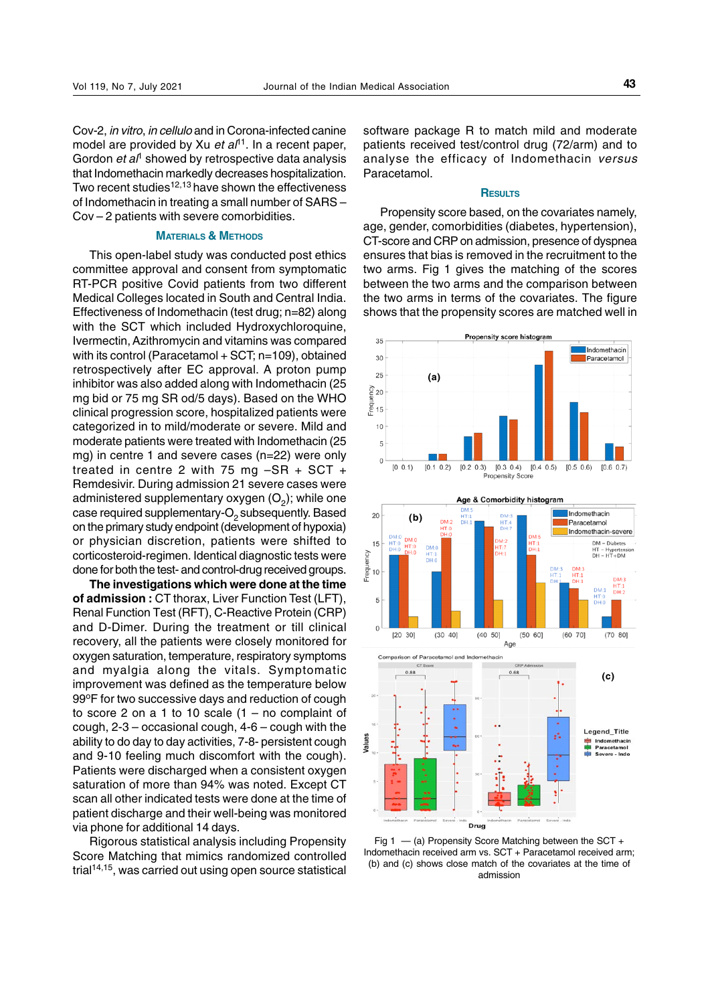Cov-2, in vitro, in cellulo and in Corona-infected canine model are provided by Xu et  $a^{11}$ . In a recent paper, Gordon  $et\,al^{\dagger}$  showed by retrospective data analysis that Indomethacin markedly decreases hospitalization. Two recent studies $12,13$  have shown the effectiveness of Indomethacin in treating a small number of SARS – Cov – 2 patients with severe comorbidities.

#### **MATERIALS & METHODS**

This open-label study was conducted post ethics committee approval and consent from symptomatic RT-PCR positive Covid patients from two different Medical Colleges located in South and Central India. Effectiveness of Indomethacin (test drug; n=82) along with the SCT which included Hydroxychloroquine, Ivermectin, Azithromycin and vitamins was compared with its control (Paracetamol + SCT; n=109), obtained retrospectively after EC approval. A proton pump inhibitor was also added along with Indomethacin (25 mg bid or 75 mg SR od/5 days). Based on the WHO clinical progression score, hospitalized patients were categorized in to mild/moderate or severe. Mild and moderate patients were treated with Indomethacin (25 mg) in centre 1 and severe cases (n=22) were only treated in centre 2 with 75 mg –SR + SCT + Remdesivir. During admission 21 severe cases were administered supplementary oxygen  $(O_2)$ ; while one case required supplementary- $O<sub>2</sub>$  subsequently. Based on the primary study endpoint (development of hypoxia) or physician discretion, patients were shifted to corticosteroid-regimen. Identical diagnostic tests were done for both the test- and control-drug received groups.

**The investigations which were done at the time of admission :** CT thorax, Liver Function Test (LFT), Renal Function Test (RFT), C-Reactive Protein (CRP) and D-Dimer. During the treatment or till clinical recovery, all the patients were closely monitored for oxygen saturation, temperature, respiratory symptoms and myalgia along the vitals. Symptomatic improvement was defined as the temperature below 99°F for two successive days and reduction of cough to score 2 on a 1 to 10 scale  $(1 - no$  complaint of cough, 2-3 – occasional cough, 4-6 – cough with the ability to do day to day activities, 7-8- persistent cough and 9-10 feeling much discomfort with the cough). Patients were discharged when a consistent oxygen saturation of more than 94% was noted. Except CT scan all other indicated tests were done at the time of patient discharge and their well-being was monitored via phone for additional 14 days.

Rigorous statistical analysis including Propensity Score Matching that mimics randomized controlled trial14,15, was carried out using open source statistical software package R to match mild and moderate patients received test/control drug (72/arm) and to analyse the efficacy of Indomethacin versus Paracetamol.

#### **RESULTS**

Propensity score based, on the covariates namely, age, gender, comorbidities (diabetes, hypertension), CT-score and CRP on admission, presence of dyspnea ensures that bias is removed in the recruitment to the two arms. Fig 1 gives the matching of the scores between the two arms and the comparison between the two arms in terms of the covariates. The figure shows that the propensity scores are matched well in







Fig 1  $-$  (a) Propensity Score Matching between the SCT + Indomethacin received arm vs. SCT + Paracetamol received arm; (b) and (c) shows close match of the covariates at the time of admission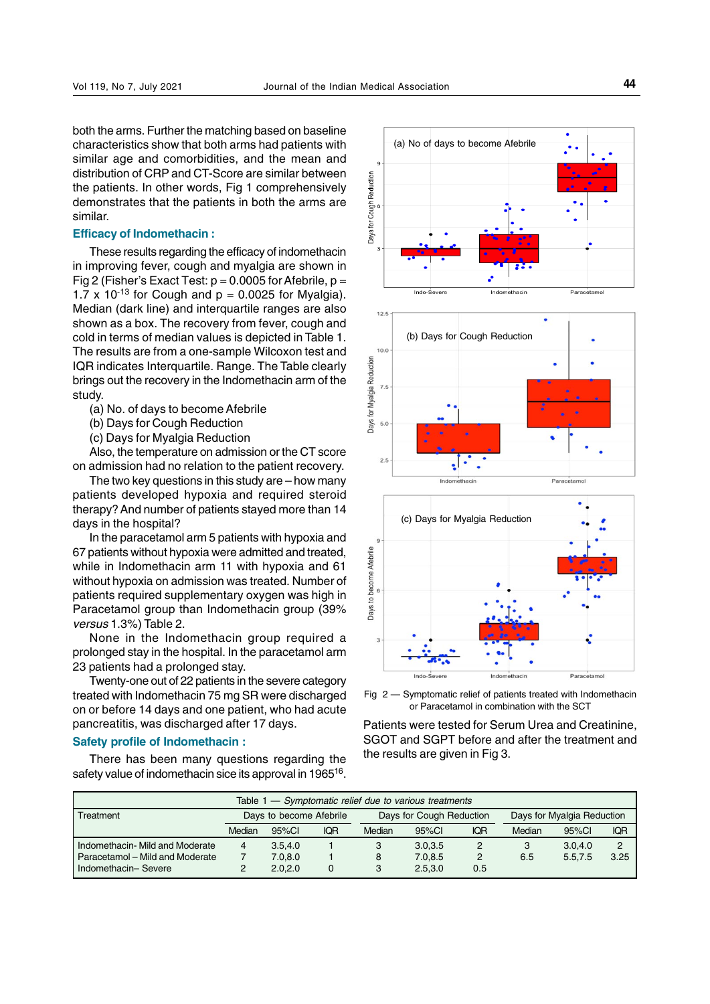both the arms. Further the matching based on baseline characteristics show that both arms had patients with similar age and comorbidities, and the mean and distribution of CRP and CT-Score are similar between the patients. In other words, Fig 1 comprehensively demonstrates that the patients in both the arms are similar.

### **Efficacy of Indomethacin :**

These results regarding the efficacy of indomethacin in improving fever, cough and myalgia are shown in Fig 2 (Fisher's Exact Test:  $p = 0.0005$  for Afebrile,  $p =$ 1.7 x 10<sup>-13</sup> for Cough and  $p = 0.0025$  for Myalgia). Median (dark line) and interquartile ranges are also shown as a box. The recovery from fever, cough and cold in terms of median values is depicted in Table 1. The results are from a one-sample Wilcoxon test and IQR indicates Interquartile. Range. The Table clearly brings out the recovery in the Indomethacin arm of the study.

(a) No. of days to become Afebrile

(b) Days for Cough Reduction

(c) Days for Myalgia Reduction

Also, the temperature on admission or the CT score on admission had no relation to the patient recovery.

The two key questions in this study are – how many patients developed hypoxia and required steroid therapy? And number of patients stayed more than 14 days in the hospital?

In the paracetamol arm 5 patients with hypoxia and 67 patients without hypoxia were admitted and treated, while in Indomethacin arm 11 with hypoxia and 61 without hypoxia on admission was treated. Number of patients required supplementary oxygen was high in Paracetamol group than Indomethacin group (39% versus 1.3%) Table 2.

None in the Indomethacin group required a prolonged stay in the hospital. In the paracetamol arm 23 patients had a prolonged stay.

Twenty-one out of 22 patients in the severe category treated with Indomethacin 75 mg SR were discharged on or before 14 days and one patient, who had acute pancreatitis, was discharged after 17 days.

## **Safety profile of Indomethacin :**

There has been many questions regarding the safety value of indomethacin sice its approval in 1965<sup>16</sup>.



Fig 2 — Symptomatic relief of patients treated with Indomethacin or Paracetamol in combination with the SCT

Patients were tested for Serum Urea and Creatinine, SGOT and SGPT before and after the treatment and the results are given in Fig 3.

| Table 1 - Symptomatic relief due to various treatments |                         |           |            |                          |           |            |                            |         |      |  |
|--------------------------------------------------------|-------------------------|-----------|------------|--------------------------|-----------|------------|----------------------------|---------|------|--|
| l Treatment                                            | Days to become Afebrile |           |            | Days for Cough Reduction |           |            | Days for Myalgia Reduction |         |      |  |
|                                                        | Median                  | $95\%$ CI | <b>IQR</b> | Median                   | $95\%$ CI | <b>IQR</b> | Median                     | 95%Cl   | IQR  |  |
| I Indomethacin- Mild and Moderate                      | 4                       | 3.5.4.0   |            | 3                        | 3.0.3.5   | 2          | 3                          | 3.0.4.0 | 2    |  |
| l Paracetamol – Mild and Moderate                      |                         | 7.0.8.0   |            | 8                        | 7.0.8.5   | 2          | 6.5                        | 5.5.7.5 | 3.25 |  |
| I Indomethacin- Severe                                 |                         | 2.0.2.0   | 0          | 3                        | 2.5.3.0   | 0.5        |                            |         |      |  |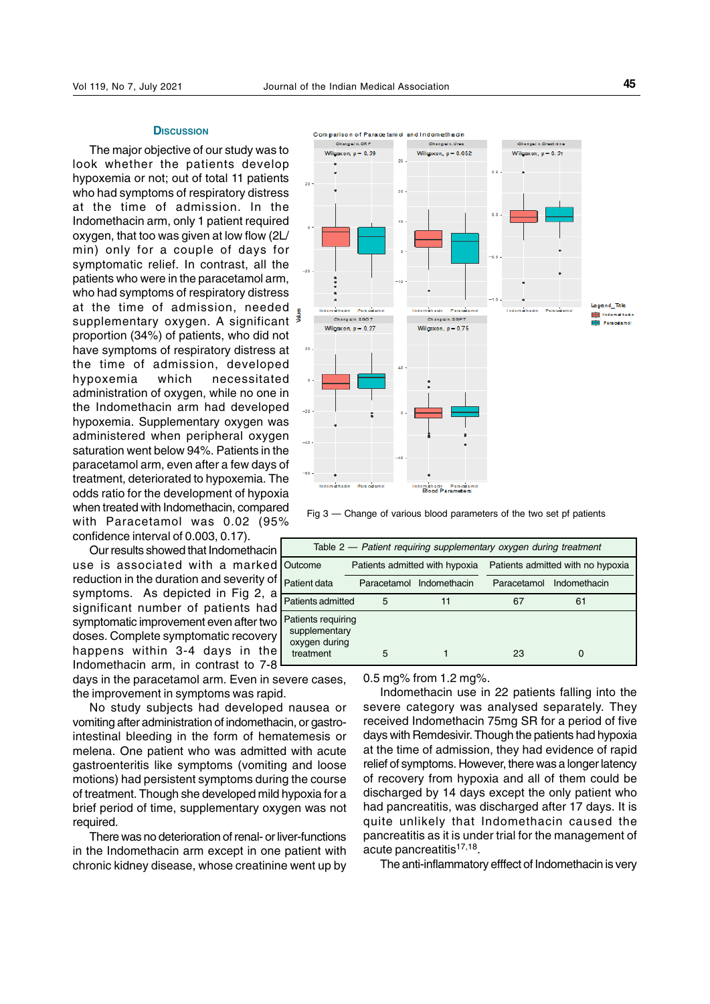#### **DISCUSSION**

The major objective of our study was to look whether the patients develop hypoxemia or not; out of total 11 patients who had symptoms of respiratory distress at the time of admission. In the Indomethacin arm, only 1 patient required oxygen, that too was given at low flow (2L/ min) only for a couple of days for symptomatic relief. In contrast, all the patients who were in the paracetamol arm, who had symptoms of respiratory distress at the time of admission, needed supplementary oxygen. A significant proportion (34%) of patients, who did not have symptoms of respiratory distress at the time of admission, developed hypoxemia which necessitated administration of oxygen, while no one in the Indomethacin arm had developed hypoxemia. Supplementary oxygen was administered when peripheral oxygen saturation went below 94%. Patients in the paracetamol arm, even after a few days of treatment, deteriorated to hypoxemia. The odds ratio for the development of hypoxia when treated with Indomethacin, compared with Paracetamol was 0.02 (95% confidence interval of 0.003, 0.17).

Our results showed that Indomethacin use is associated with a marked reduction in the duration and severity of symptoms. As depicted in Fig 2, a significant number of patients had symptomatic improvement even after two doses. Complete symptomatic recovery happens within 3-4 days in the Indomethacin arm, in contrast to 7-8

days in the paracetamol arm. Even in severe cases, the improvement in symptoms was rapid.

No study subjects had developed nausea or vomiting after administration of indomethacin, or gastrointestinal bleeding in the form of hematemesis or melena. One patient who was admitted with acute gastroenteritis like symptoms (vomiting and loose motions) had persistent symptoms during the course of treatment. Though she developed mild hypoxia for a brief period of time, supplementary oxygen was not required.

There was no deterioration of renal- or liver-functions in the Indomethacin arm except in one patient with chronic kidney disease, whose creatinine went up by



Fig 3 — Change of various blood parameters of the two set pf patients

| Table 2 - Patient requiring supplementary oxygen during treatment |    |                                                            |              |  |  |  |  |  |
|-------------------------------------------------------------------|----|------------------------------------------------------------|--------------|--|--|--|--|--|
|                                                                   |    | Patients admitted with no hypoxia                          |              |  |  |  |  |  |
|                                                                   |    | Paracetamol                                                | Indomethacin |  |  |  |  |  |
| Patients admitted<br>5                                            | 11 | 67                                                         | 61           |  |  |  |  |  |
| Patients requiring<br>supplementary<br>oxygen during<br>5         |    | 23                                                         |              |  |  |  |  |  |
|                                                                   |    | Patients admitted with hypoxia<br>Paracetamol Indomethacin |              |  |  |  |  |  |

0.5 mg% from 1.2 mg%.

Indomethacin use in 22 patients falling into the severe category was analysed separately. They received Indomethacin 75mg SR for a period of five days with Remdesivir. Though the patients had hypoxia at the time of admission, they had evidence of rapid relief of symptoms. However, there was a longer latency of recovery from hypoxia and all of them could be discharged by 14 days except the only patient who had pancreatitis, was discharged after 17 days. It is quite unlikely that Indomethacin caused the pancreatitis as it is under trial for the management of acute pancreatitis<sup>17,18</sup>.

The anti-inflammatory efffect of Indomethacin is very